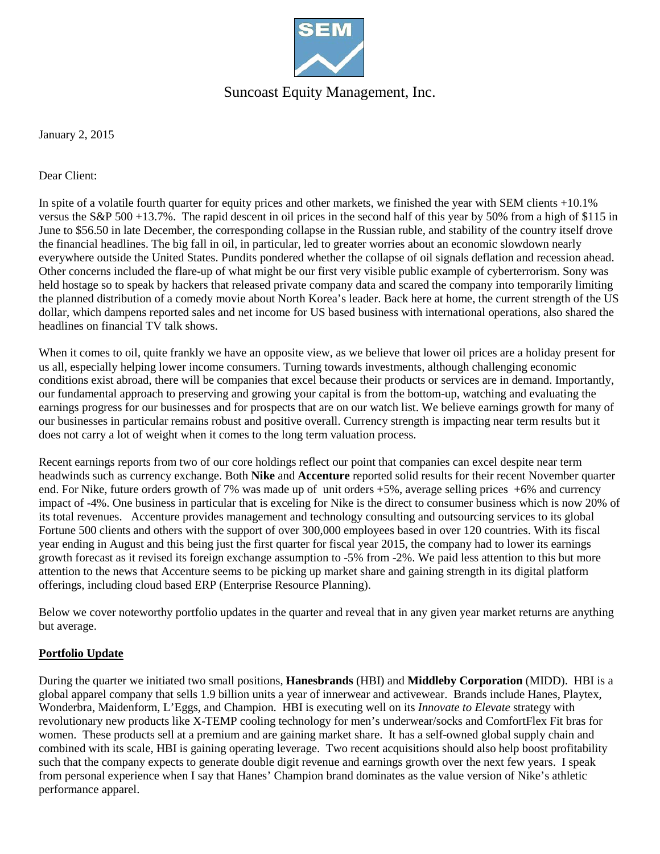

## Suncoast Equity Management, Inc.

January 2, 2015

Dear Client:

In spite of a volatile fourth quarter for equity prices and other markets, we finished the year with SEM clients +10.1% versus the S&P 500 +13.7%. The rapid descent in oil prices in the second half of this year by 50% from a high of \$115 in June to \$56.50 in late December, the corresponding collapse in the Russian ruble, and stability of the country itself drove the financial headlines. The big fall in oil, in particular, led to greater worries about an economic slowdown nearly everywhere outside the United States. Pundits pondered whether the collapse of oil signals deflation and recession ahead. Other concerns included the flare-up of what might be our first very visible public example of cyberterrorism. Sony was held hostage so to speak by hackers that released private company data and scared the company into temporarily limiting the planned distribution of a comedy movie about North Korea's leader. Back here at home, the current strength of the US dollar, which dampens reported sales and net income for US based business with international operations, also shared the headlines on financial TV talk shows.

When it comes to oil, quite frankly we have an opposite view, as we believe that lower oil prices are a holiday present for us all, especially helping lower income consumers. Turning towards investments, although challenging economic conditions exist abroad, there will be companies that excel because their products or services are in demand. Importantly, our fundamental approach to preserving and growing your capital is from the bottom-up, watching and evaluating the earnings progress for our businesses and for prospects that are on our watch list. We believe earnings growth for many of our businesses in particular remains robust and positive overall. Currency strength is impacting near term results but it does not carry a lot of weight when it comes to the long term valuation process.

Recent earnings reports from two of our core holdings reflect our point that companies can excel despite near term headwinds such as currency exchange. Both **Nike** and **Accenture** reported solid results for their recent November quarter end. For Nike, future orders growth of 7% was made up of unit orders  $+5%$ , average selling prices  $+6%$  and currency impact of -4%. One business in particular that is exceling for Nike is the direct to consumer business which is now 20% of its total revenues. Accenture provides management and technology consulting and outsourcing services to its global Fortune 500 clients and others with the support of over 300,000 employees based in over 120 countries. With its fiscal year ending in August and this being just the first quarter for fiscal year 2015, the company had to lower its earnings growth forecast as it revised its foreign exchange assumption to -5% from -2%. We paid less attention to this but more attention to the news that Accenture seems to be picking up market share and gaining strength in its digital platform offerings, including cloud based ERP (Enterprise Resource Planning).

Below we cover noteworthy portfolio updates in the quarter and reveal that in any given year market returns are anything but average.

#### **Portfolio Update**

During the quarter we initiated two small positions, **Hanesbrands** (HBI) and **Middleby Corporation** (MIDD). HBI is a global apparel company that sells 1.9 billion units a year of innerwear and activewear. Brands include Hanes, Playtex, Wonderbra, Maidenform, L'Eggs, and Champion. HBI is executing well on its *Innovate to Elevate* strategy with revolutionary new products like X-TEMP cooling technology for men's underwear/socks and ComfortFlex Fit bras for women. These products sell at a premium and are gaining market share. It has a self-owned global supply chain and combined with its scale, HBI is gaining operating leverage. Two recent acquisitions should also help boost profitability such that the company expects to generate double digit revenue and earnings growth over the next few years. I speak from personal experience when I say that Hanes' Champion brand dominates as the value version of Nike's athletic performance apparel.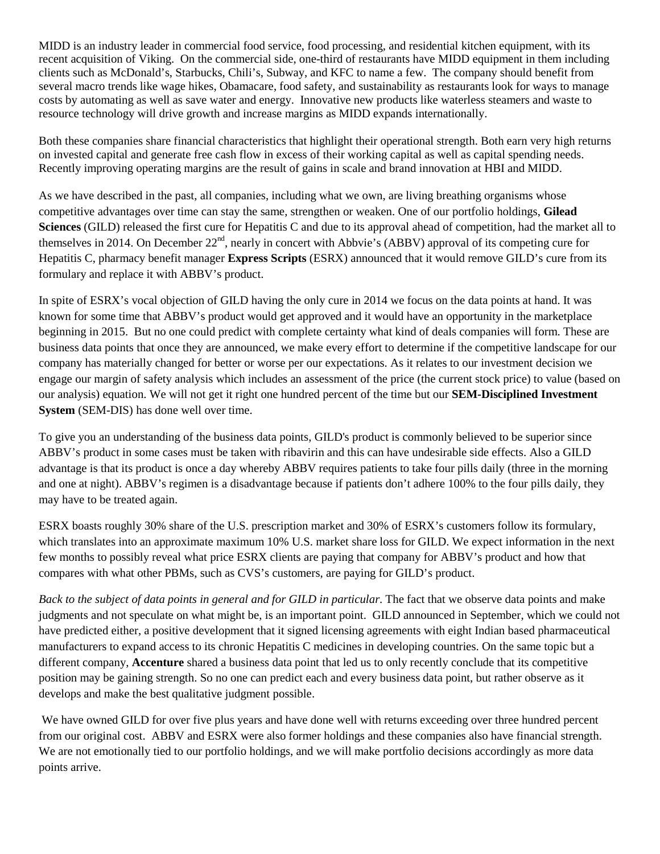MIDD is an industry leader in commercial food service, food processing, and residential kitchen equipment, with its recent acquisition of Viking. On the commercial side, one-third of restaurants have MIDD equipment in them including clients such as McDonald's, Starbucks, Chili's, Subway, and KFC to name a few. The company should benefit from several macro trends like wage hikes, Obamacare, food safety, and sustainability as restaurants look for ways to manage costs by automating as well as save water and energy. Innovative new products like waterless steamers and waste to resource technology will drive growth and increase margins as MIDD expands internationally.

Both these companies share financial characteristics that highlight their operational strength. Both earn very high returns on invested capital and generate free cash flow in excess of their working capital as well as capital spending needs. Recently improving operating margins are the result of gains in scale and brand innovation at HBI and MIDD.

As we have described in the past, all companies, including what we own, are living breathing organisms whose competitive advantages over time can stay the same, strengthen or weaken. One of our portfolio holdings, **Gilead Sciences** (GILD) released the first cure for Hepatitis C and due to its approval ahead of competition, had the market all to themselves in 2014. On December 22<sup>nd</sup>, nearly in concert with Abbvie's (ABBV) approval of its competing cure for Hepatitis C, pharmacy benefit manager **Express Scripts** (ESRX) announced that it would remove GILD's cure from its formulary and replace it with ABBV's product.

In spite of ESRX's vocal objection of GILD having the only cure in 2014 we focus on the data points at hand. It was known for some time that ABBV's product would get approved and it would have an opportunity in the marketplace beginning in 2015. But no one could predict with complete certainty what kind of deals companies will form. These are business data points that once they are announced, we make every effort to determine if the competitive landscape for our company has materially changed for better or worse per our expectations. As it relates to our investment decision we engage our margin of safety analysis which includes an assessment of the price (the current stock price) to value (based on our analysis) equation. We will not get it right one hundred percent of the time but our **SEM-Disciplined Investment System** (SEM-DIS) has done well over time.

To give you an understanding of the business data points, GILD's product is commonly believed to be superior since ABBV's product in some cases must be taken with ribavirin and this can have undesirable side effects. Also a GILD advantage is that its product is once a day whereby ABBV requires patients to take four pills daily (three in the morning and one at night). ABBV's regimen is a disadvantage because if patients don't adhere 100% to the four pills daily, they may have to be treated again.

ESRX boasts roughly 30% share of the U.S. prescription market and 30% of ESRX's customers follow its formulary, which translates into an approximate maximum 10% U.S. market share loss for GILD. We expect information in the next few months to possibly reveal what price ESRX clients are paying that company for ABBV's product and how that compares with what other PBMs, such as CVS's customers, are paying for GILD's product.

*Back to the subject of data points in general and for GILD in particular.* The fact that we observe data points and make judgments and not speculate on what might be, is an important point. GILD announced in September, which we could not have predicted either, a positive development that it signed licensing agreements with eight Indian based pharmaceutical manufacturers to expand access to its chronic Hepatitis C medicines in developing countries. On the same topic but a different company, **Accenture** shared a business data point that led us to only recently conclude that its competitive position may be gaining strength. So no one can predict each and every business data point, but rather observe as it develops and make the best qualitative judgment possible.

We have owned GILD for over five plus years and have done well with returns exceeding over three hundred percent from our original cost. ABBV and ESRX were also former holdings and these companies also have financial strength. We are not emotionally tied to our portfolio holdings, and we will make portfolio decisions accordingly as more data points arrive.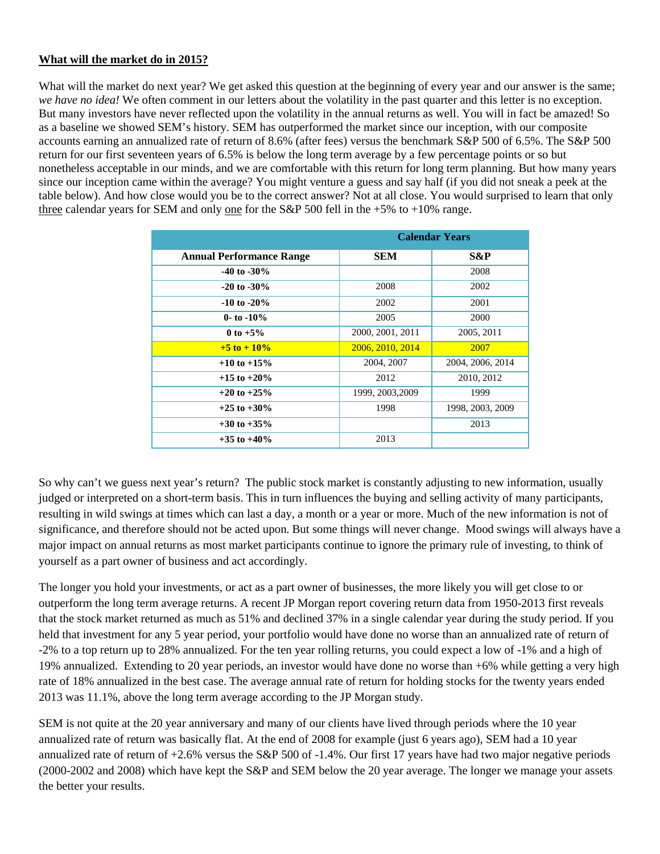### **What will the market do in 2015?**

What will the market do next year? We get asked this question at the beginning of every year and our answer is the same; *we have no idea!* We often comment in our letters about the volatility in the past quarter and this letter is no exception. But many investors have never reflected upon the volatility in the annual returns as well. You will in fact be amazed! So as a baseline we showed SEM's history. SEM has outperformed the market since our inception, with our composite accounts earning an annualized rate of return of 8.6% (after fees) versus the benchmark S&P 500 of 6.5%. The S&P 500 return for our first seventeen years of 6.5% is below the long term average by a few percentage points or so but nonetheless acceptable in our minds, and we are comfortable with this return for long term planning. But how many years since our inception came within the average? You might venture a guess and say half (if you did not sneak a peek at the table below). And how close would you be to the correct answer? Not at all close. You would surprised to learn that only three calendar years for SEM and only one for the S&P 500 fell in the  $+5\%$  to  $+10\%$  range.

|                                 | <b>Calendar Years</b> |                  |  |
|---------------------------------|-----------------------|------------------|--|
| <b>Annual Performance Range</b> | <b>SEM</b>            | S&P              |  |
| $-40$ to $-30\%$                |                       | 2008             |  |
| $-20$ to $-30\%$                | 2008                  | 2002             |  |
| $-10$ to $-20\%$                | 2002                  | 2001             |  |
| 0- to $-10\%$                   | 2005                  | 2000             |  |
| 0 to $+5\%$                     | 2000, 2001, 2011      | 2005, 2011       |  |
| $+5$ to $+10\%$                 | 2006, 2010, 2014      | 2007             |  |
| $+10$ to $+15\%$                | 2004, 2007            | 2004, 2006, 2014 |  |
| $+15$ to $+20\%$                | 2012                  | 2010, 2012       |  |
| $+20$ to $+25\%$                | 1999, 2003, 2009      | 1999             |  |
| $+25$ to $+30\%$                | 1998                  | 1998, 2003, 2009 |  |
| $+30$ to $+35\%$                |                       | 2013             |  |
| $+35$ to $+40\%$                | 2013                  |                  |  |

So why can't we guess next year's return? The public stock market is constantly adjusting to new information, usually judged or interpreted on a short-term basis. This in turn influences the buying and selling activity of many participants, resulting in wild swings at times which can last a day, a month or a year or more. Much of the new information is not of significance, and therefore should not be acted upon. But some things will never change. Mood swings will always have a major impact on annual returns as most market participants continue to ignore the primary rule of investing, to think of yourself as a part owner of business and act accordingly.

The longer you hold your investments, or act as a part owner of businesses, the more likely you will get close to or outperform the long term average returns. A recent JP Morgan report covering return data from 1950-2013 first reveals that the stock market returned as much as 51% and declined 37% in a single calendar year during the study period. If you held that investment for any 5 year period, your portfolio would have done no worse than an annualized rate of return of -2% to a top return up to 28% annualized. For the ten year rolling returns, you could expect a low of -1% and a high of 19% annualized. Extending to 20 year periods, an investor would have done no worse than +6% while getting a very high rate of 18% annualized in the best case. The average annual rate of return for holding stocks for the twenty years ended 2013 was 11.1%, above the long term average according to the JP Morgan study.

SEM is not quite at the 20 year anniversary and many of our clients have lived through periods where the 10 year annualized rate of return was basically flat. At the end of 2008 for example (just 6 years ago), SEM had a 10 year annualized rate of return of  $+2.6\%$  versus the S&P 500 of  $-1.4\%$ . Our first 17 years have had two major negative periods (2000-2002 and 2008) which have kept the S&P and SEM below the 20 year average. The longer we manage your assets the better your results.